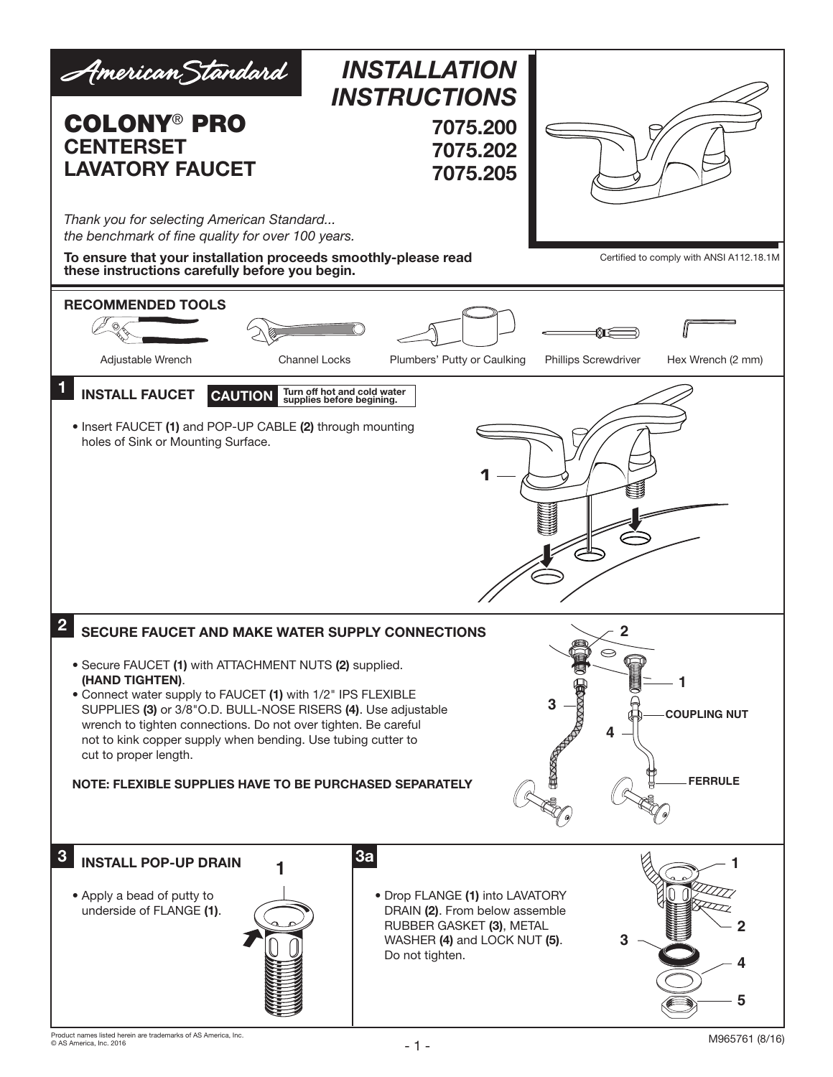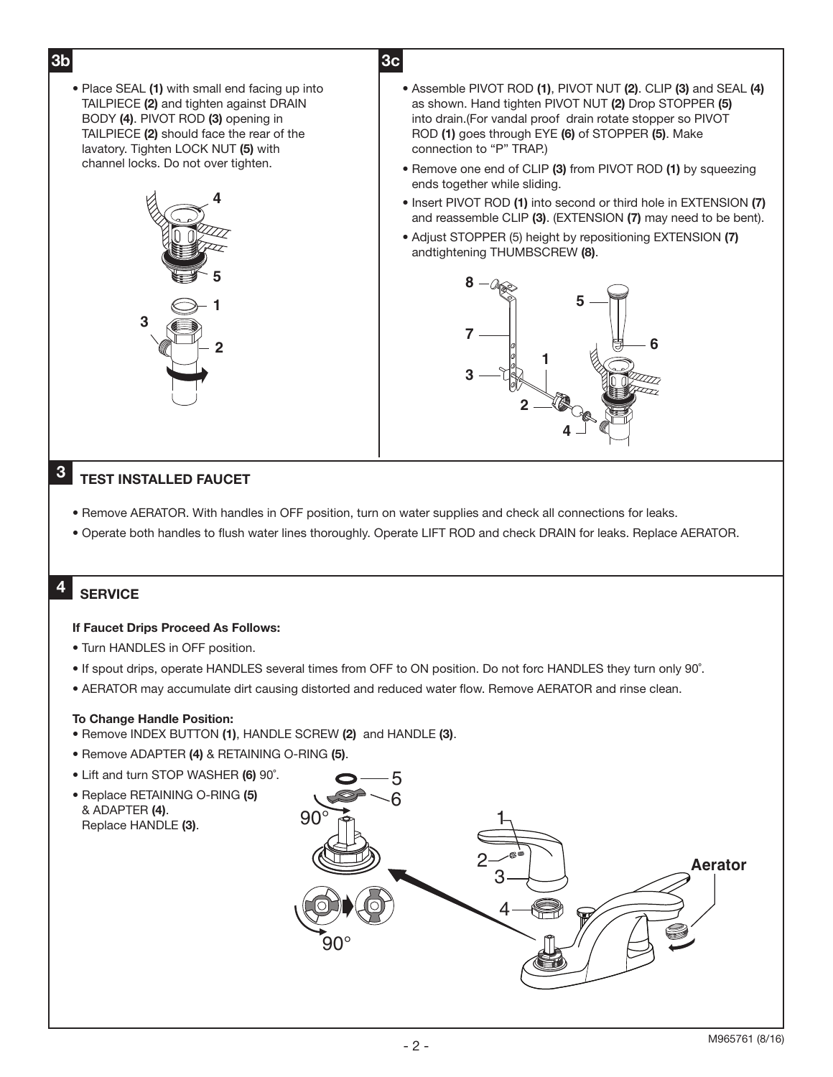3b 3c • Place SEAL (1) with small end facing up into TAILPIECE (2) and tighten against DRAIN BODY (4). PIVOT ROD (3) opening in TAILPIECE (2) should face the rear of the lavatory. Tighten LOCK NUT (5) with channel locks. Do not over tighten.

**2**

**1**

**5**

**4**

- Assemble PIVOT ROD (1), PIVOT NUT (2). CLIP (3) and SEAL (4) as shown. Hand tighten PIVOT NUT (2) Drop STOPPER (5) into drain.(For vandal proof drain rotate stopper so PIVOT ROD (1) goes through EYE (6) of STOPPER (5). Make connection to "P" TRAP.)
- Remove one end of CLIP (3) from PIVOT ROD (1) by squeezing ends together while sliding.
- Insert PIVOT ROD (1) into second or third hole in EXTENSION (7) and reassemble CLIP (3). (EXTENSION (7) may need to be bent).
- Adjust STOPPER (5) height by repositioning EXTENSION (7) andtightening THUMBSCREW (8).



# 3 TEST INSTALLED FAUCET

**3**

- Remove AERATOR. With handles in OFF position, turn on water supplies and check all connections for leaks.
- Operate both handles to flush water lines thoroughly. Operate LIFT ROD and check DRAIN for leaks. Replace AERATOR.

### 4 **SERVICE**

## If Faucet Drips Proceed As Follows:

- Turn HANDLES in OFF position.
- If spout drips, operate HANDLES several times from OFF to ON position. Do not forc HANDLES they turn only 90˚.
- AERATOR may accumulate dirt causing distorted and reduced water flow. Remove AERATOR and rinse clean.

# To Change Handle Position:

- Remove INDEX BUTTON (1), HANDLE SCREW (2) and HANDLE (3).
- Remove ADAPTER (4) & RETAINING O-RING (5).
- Lift and turn STOP WASHER (6) 90˚.